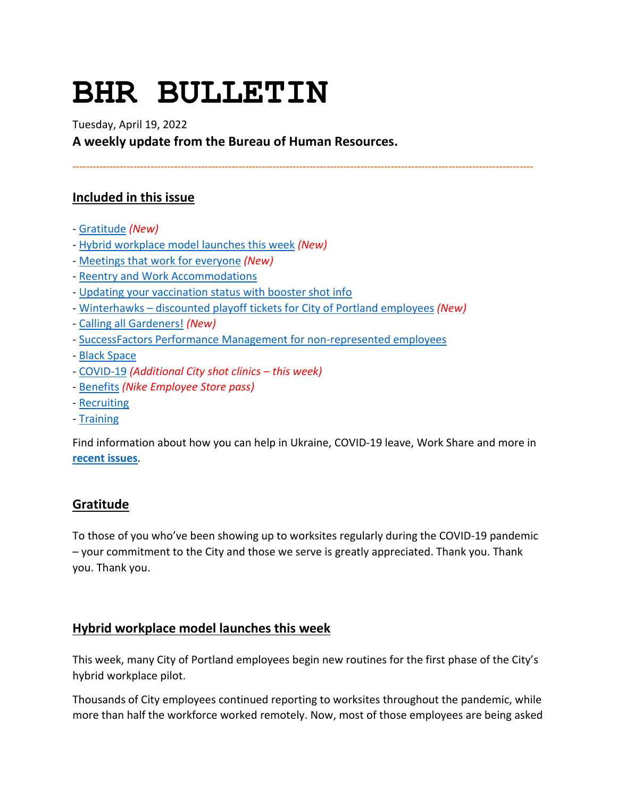# **BHR BULLETIN**

Tuesday, April 19, 2022

**A weekly update from the Bureau of Human Resources.**

**----------------------------------------------------------------------------------------------------------------------------------------**

# **Included in this issue**

- - [Gratitude](#page-0-0) *(New)*
- - [Hybrid workplace model launches this week](#page-0-1) *(New)*
- - [Meetings that work for everyone](#page-1-0) *(New)*
- - [Reentry and Work Accommodations](#page-2-0)
- - [Updating your vaccination status with booster shot info](#page-2-1)
- - [Winterhawks discounted playoff tickets for City of Portland employees](#page-2-2) *(New)*
- - [Calling all Gardeners!](#page-3-0) *(New)*
- - [SuccessFactors Performance Management for non-represented employees](#page-3-1)
- - [Black Space](#page-5-0)
- - [COVID-19](#page-5-1) *(Additional City shot clinics this week)*
- - [Benefits](#page-9-0) *(Nike Employee Store pass)*
- - [Recruiting](#page-11-0)
- - [Training](#page-11-1)

Find information about how you can help in Ukraine, COVID-19 leave, Work Share and more in **[recent issues](https://www.portlandoregon.gov/bhr/81102)**.

# <span id="page-0-0"></span>**Gratitude**

To those of you who've been showing up to worksites regularly during the COVID-19 pandemic – your commitment to the City and those we serve is greatly appreciated. Thank you. Thank you. Thank you.

# <span id="page-0-1"></span>**Hybrid workplace model launches this week**

This week, many City of Portland employees begin new routines for the first phase of the City's hybrid workplace pilot.

Thousands of City employees continued reporting to worksites throughout the pandemic, while more than half the workforce worked remotely. Now, most of those employees are being asked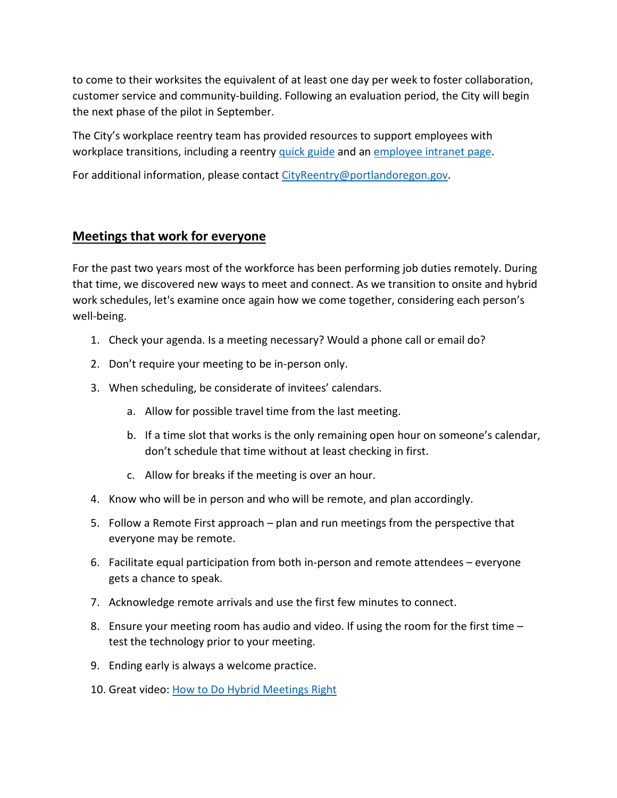to come to their worksites the equivalent of at least one day per week to foster collaboration, customer service and community-building. Following an evaluation period, the City will begin the next phase of the pilot in September.

The City's workplace reentry team has provided resources to support employees with workplace transitions, including a reentry [quick guide](https://t.e2ma.net/click/fl8kjj/3bt161/3zr0n4) and an [employee intranet page.](https://t.e2ma.net/click/fl8kjj/3bt161/jss0n4)

For additional information, please contac[t CityReentry@portlandoregon.gov.](mailto:CityReentry@portlandoregon.gov)

#### <span id="page-1-0"></span>**Meetings that work for everyone**

For the past two years most of the workforce has been performing job duties remotely. During that time, we discovered new ways to meet and connect. As we transition to onsite and hybrid work schedules, let's examine once again how we come together, considering each person's well-being.

- 1. Check your agenda. Is a meeting necessary? Would a phone call or email do?
- 2. Don't require your meeting to be in-person only.
- 3. When scheduling, be considerate of invitees' calendars.
	- a. Allow for possible travel time from the last meeting.
	- b. If a time slot that works is the only remaining open hour on someone's calendar, don't schedule that time without at least checking in first.
	- c. Allow for breaks if the meeting is over an hour.
- 4. Know who will be in person and who will be remote, and plan accordingly.
- 5. Follow a Remote First approach plan and run meetings from the perspective that everyone may be remote.
- 6. Facilitate equal participation from both in-person and remote attendees everyone gets a chance to speak.
- 7. Acknowledge remote arrivals and use the first few minutes to connect.
- 8. Ensure your meeting room has audio and video. If using the room for the first time test the technology prior to your meeting.
- 9. Ending early is always a welcome practice.
- 10. Great video: [How to Do Hybrid Meetings Right](https://hbr.org/2021/11/christine-vs-work-how-to-do-hybrid-meetings-right)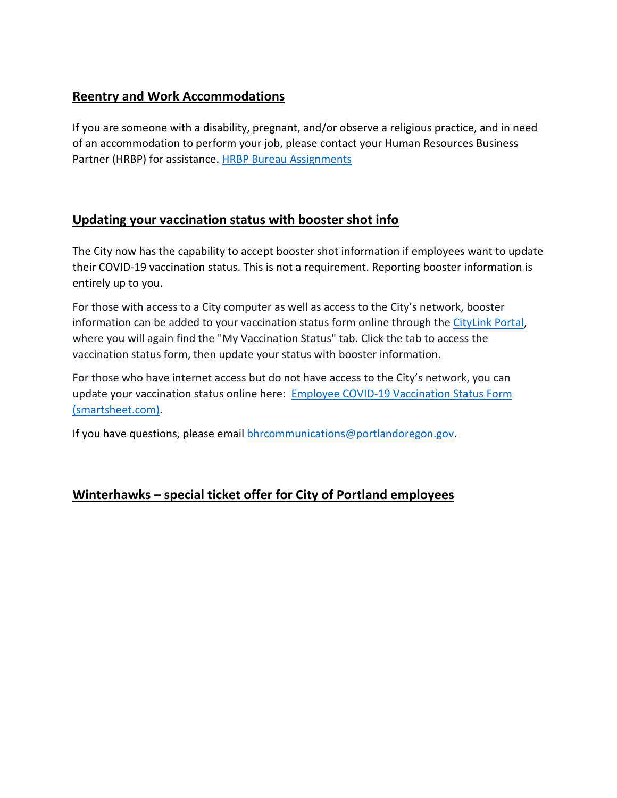# <span id="page-2-0"></span>**Reentry and Work Accommodations**

If you are someone with a disability, pregnant, and/or observe a religious practice, and in need of an accommodation to perform your job, please contact your Human Resources Business Partner (HRBP) for assistance. [HRBP Bureau Assignments](https://www.portlandoregon.gov/bhr/article/430513)

# <span id="page-2-1"></span>**Updating your vaccination status with booster shot info**

The City now has the capability to accept booster shot information if employees want to update their COVID-19 vaccination status. This is not a requirement. Reporting booster information is entirely up to you.

For those with access to a City computer as well as access to the City's network, booster information can be added to your vaccination status form online through th[e CityLink Portal,](https://www.portlandoregon.gov/employee/50542) where you will again find the "My Vaccination Status" tab. Click the tab to access the vaccination status form, then update your status with booster information.

For those who have internet access but do not have access to the City's network, you can update your vaccination status online here: [Employee COVID-19 Vaccination Status Form](https://app.smartsheet.com/b/form/1630264465a1445bae728de4615f96a7)  [\(smartsheet.com\).](https://app.smartsheet.com/b/form/1630264465a1445bae728de4615f96a7)

If you have questions, please email **bhrcommunications@portlandoregon.gov**.

# <span id="page-2-2"></span>**Winterhawks – special ticket offer for City of Portland employees**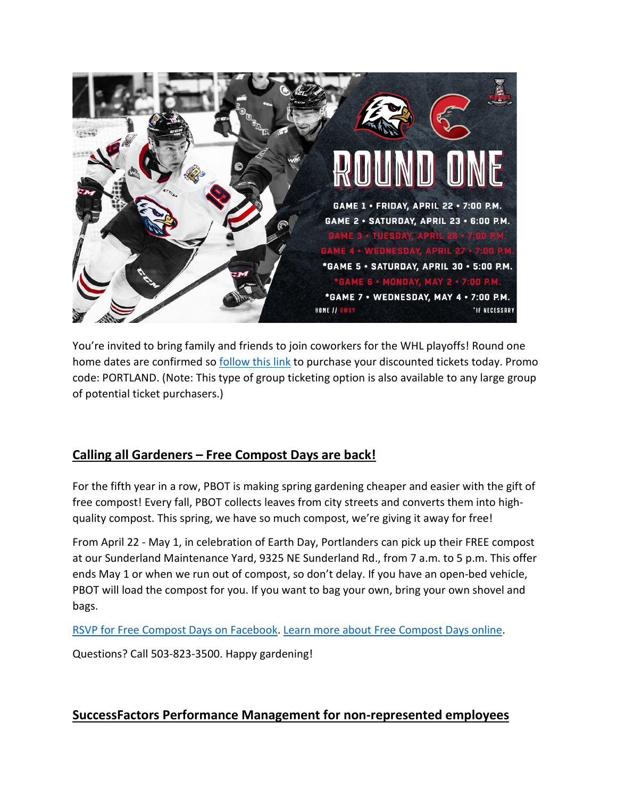

You're invited to bring family and friends to join coworkers for the WHL playoffs! Round one home dates are confirmed s[o follow this link](https://am.ticketmaster.com/winterhawks/promotional-page?filterType=MjM3) to purchase your discounted tickets today. Promo code: PORTLAND. (Note: This type of group ticketing option is also available to any large group of potential ticket purchasers.)

# <span id="page-3-0"></span>**Calling all Gardeners – Free Compost Days are back!**

For the fifth year in a row, PBOT is making spring gardening cheaper and easier with the gift of free compost! Every fall, PBOT collects leaves from city streets and converts them into highquality compost. This spring, we have so much compost, we're giving it away for free!

From April 22 - May 1, in celebration of Earth Day, Portlanders can pick up their FREE compost at our Sunderland Maintenance Yard, 9325 NE Sunderland Rd., from 7 a.m. to 5 p.m. This offer ends May 1 or when we run out of compost, so don't delay. If you have an open-bed vehicle, PBOT will load the compost for you. If you want to bag your own, bring your own shovel and bags.

[RSVP for Free Compost Days on Facebook.](https://www.facebook.com/events/944836319562568/944844456228421?active_tab=about&utm_medium=email&utm_source=govdelivery) [Learn more about Free Compost Days online.](https://www.portland.gov/transportation/events/2022/4/22/free-compost-days)

Questions? Call 503-823-3500. Happy gardening!

# <span id="page-3-1"></span>**SuccessFactors Performance Management for non-represented employees**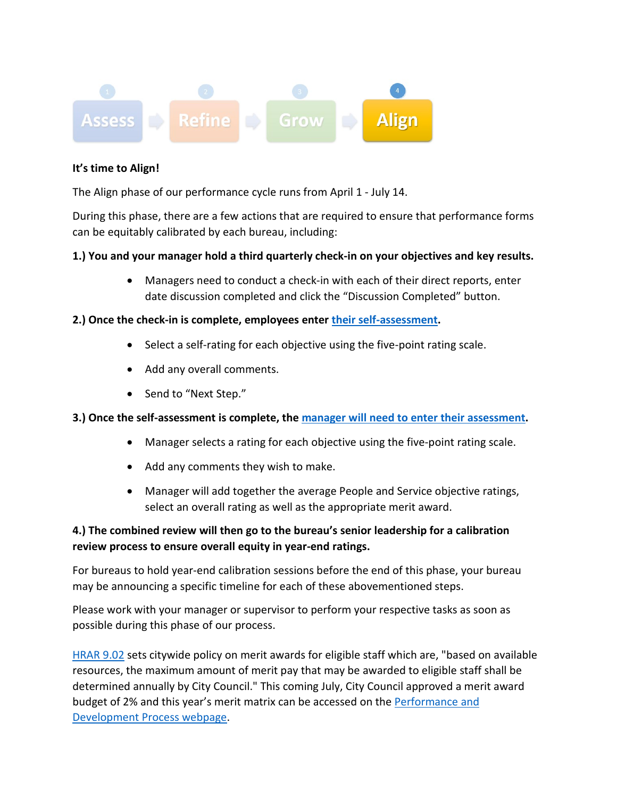

#### **It's time to Align!**

The Align phase of our performance cycle runs from April 1 - July 14.

During this phase, there are a few actions that are required to ensure that performance forms can be equitably calibrated by each bureau, including:

#### **1.) You and your manager hold a third quarterly check-in on your objectives and key results.**

• Managers need to conduct a check-in with each of their direct reports, enter date discussion completed and click the "Discussion Completed" button.

#### **2.) Once the check-in is complete, employees enter [their self-assessment.](https://www.youtube.com/watch?v=tNG9-r8GYZ0)**

- Select a self-rating for each objective using the five-point rating scale.
- Add any overall comments.
- Send to "Next Step."

#### **3.) Once the self-assessment is complete, the [manager will need to enter their assessment.](https://www.youtube.com/watch?v=IGGClEgPQTU)**

- Manager selects a rating for each objective using the five-point rating scale.
- Add any comments they wish to make.
- Manager will add together the average People and Service objective ratings, select an overall rating as well as the appropriate merit award.

#### **4.) The combined review will then go to the bureau's senior leadership for a calibration review process to ensure overall equity in year-end ratings.**

For bureaus to hold year-end calibration sessions before the end of this phase, your bureau may be announcing a specific timeline for each of these abovementioned steps.

Please work with your manager or supervisor to perform your respective tasks as soon as possible during this phase of our process.

[HRAR 9.02](https://www.portland.gov/sites/default/files/2020-06/9.02-performance-management_0.pdf) sets citywide policy on merit awards for eligible staff which are, "based on available resources, the maximum amount of merit pay that may be awarded to eligible staff shall be determined annually by City Council." This coming July, City Council approved a merit award budget of 2% and this year's merit matrix can be accessed on the [Performance and](https://www.portlandoregon.gov/bhr/article/799199)  [Development Process webpage.](https://www.portlandoregon.gov/bhr/article/799199)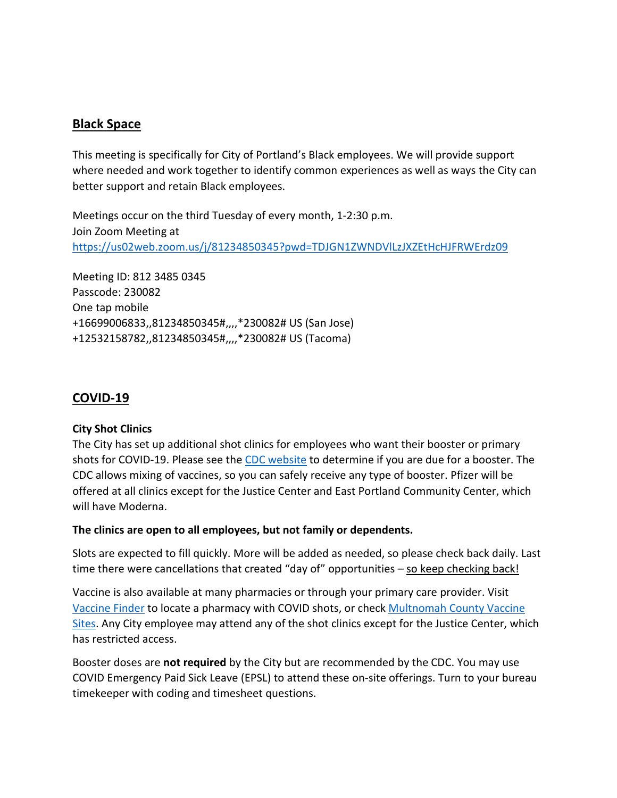# <span id="page-5-0"></span>**Black Space**

This meeting is specifically for City of Portland's Black employees. We will provide support where needed and work together to identify common experiences as well as ways the City can better support and retain Black employees.

Meetings occur on the third Tuesday of every month, 1-2:30 p.m. Join Zoom Meeting at <https://us02web.zoom.us/j/81234850345?pwd=TDJGN1ZWNDVlLzJXZEtHcHJFRWErdz09>

Meeting ID: 812 3485 0345 Passcode: 230082 One tap mobile +16699006833,,81234850345#,,,,\*230082# US (San Jose) +12532158782,,81234850345#,,,,\*230082# US (Tacoma)

# <span id="page-5-1"></span>**COVID-19**

#### **City Shot Clinics**

The City has set up additional shot clinics for employees who want their booster or primary shots for COVID-19. Please see the [CDC website](https://www.cdc.gov/coronavirus/2019-ncov/vaccines/stay-up-to-date.html) to determine if you are due for a booster. The CDC allows mixing of vaccines, so you can safely receive any type of booster. Pfizer will be offered at all clinics except for the Justice Center and East Portland Community Center, which will have Moderna.

#### **The clinics are open to all employees, but not family or dependents.**

Slots are expected to fill quickly. More will be added as needed, so please check back daily. Last time there were cancellations that created "day of" opportunities  $-$  so keep checking back!

Vaccine is also available at many pharmacies or through your primary care provider. Visit [Vaccine Finder](https://www.vaccines.gov/) to locate a pharmacy with COVID shots, or check [Multnomah County Vaccine](https://www.multco.us/novel-coronavirus-covid-19/upcoming-covid-19-vaccination-clinics)  [Sites.](https://www.multco.us/novel-coronavirus-covid-19/upcoming-covid-19-vaccination-clinics) Any City employee may attend any of the shot clinics except for the Justice Center, which has restricted access.

Booster doses are **not required** by the City but are recommended by the CDC. You may use COVID Emergency Paid Sick Leave (EPSL) to attend these on-site offerings. Turn to your bureau timekeeper with coding and timesheet questions.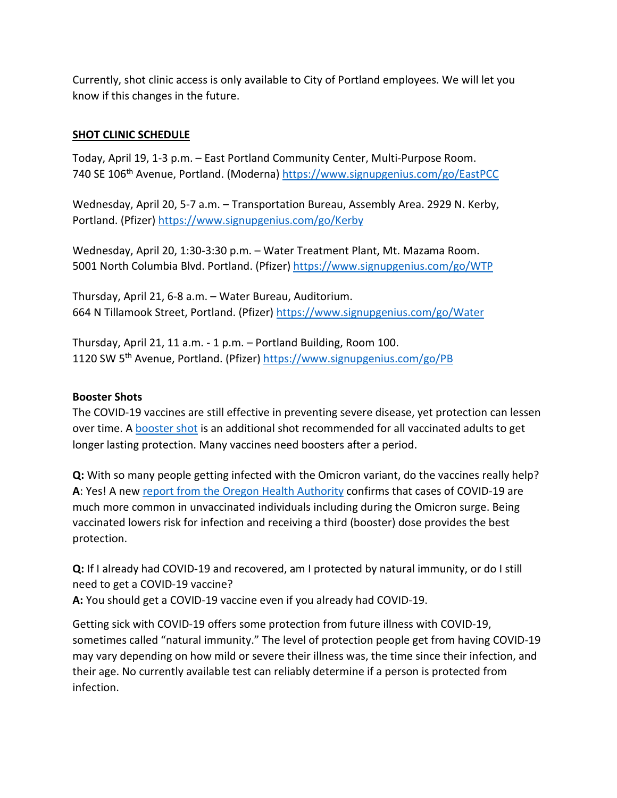Currently, shot clinic access is only available to City of Portland employees. We will let you know if this changes in the future.

#### **SHOT CLINIC SCHEDULE**

Today, April 19, 1-3 p.m. – East Portland Community Center, Multi-Purpose Room. 740 SE 106th Avenue, Portland. (Moderna)<https://www.signupgenius.com/go/EastPCC>

Wednesday, April 20, 5-7 a.m. – Transportation Bureau, Assembly Area. 2929 N. Kerby, Portland. (Pfizer)<https://www.signupgenius.com/go/Kerby>

Wednesday, April 20, 1:30-3:30 p.m. – Water Treatment Plant, Mt. Mazama Room. 5001 North Columbia Blvd. Portland. (Pfizer)<https://www.signupgenius.com/go/WTP>

Thursday, April 21, 6-8 a.m. – Water Bureau, Auditorium. 664 N Tillamook Street, Portland. (Pfizer)<https://www.signupgenius.com/go/Water>

Thursday, April 21, 11 a.m. - 1 p.m. – Portland Building, Room 100. 1120 SW 5th Avenue, Portland. (Pfizer)<https://www.signupgenius.com/go/PB>

#### **Booster Shots**

The COVID-19 vaccines are still effective in preventing severe disease, yet protection can lessen over time. A [booster shot](https://www.cdc.gov/coronavirus/2019-ncov/vaccines/booster-shot.html) is an additional shot recommended for all vaccinated adults to get longer lasting protection. Many vaccines need boosters after a period.

**Q:** With so many people getting infected with the Omicron variant, do the vaccines really help? **A**: Yes! A new [report from the Oregon Health Authority](https://covidblog.oregon.gov/booster-shots-highlighted-in-new-breakthrough-case-report/?utm_medium=email&utm_source=govdelivery) confirms that cases of COVID-19 are much more common in unvaccinated individuals including during the Omicron surge. Being vaccinated lowers risk for infection and receiving a third (booster) dose provides the best protection.

**Q:** If I already had COVID-19 and recovered, am I protected by natural immunity, or do I still need to get a COVID-19 vaccine?

**A:** You should get a COVID-19 vaccine even if you already had COVID-19.

Getting sick with COVID-19 offers some protection from future illness with COVID-19, sometimes called "natural immunity." The level of protection people get from having COVID-19 may vary depending on how mild or severe their illness was, the time since their infection, and their age. No currently available test can reliably determine if a person is protected from infection.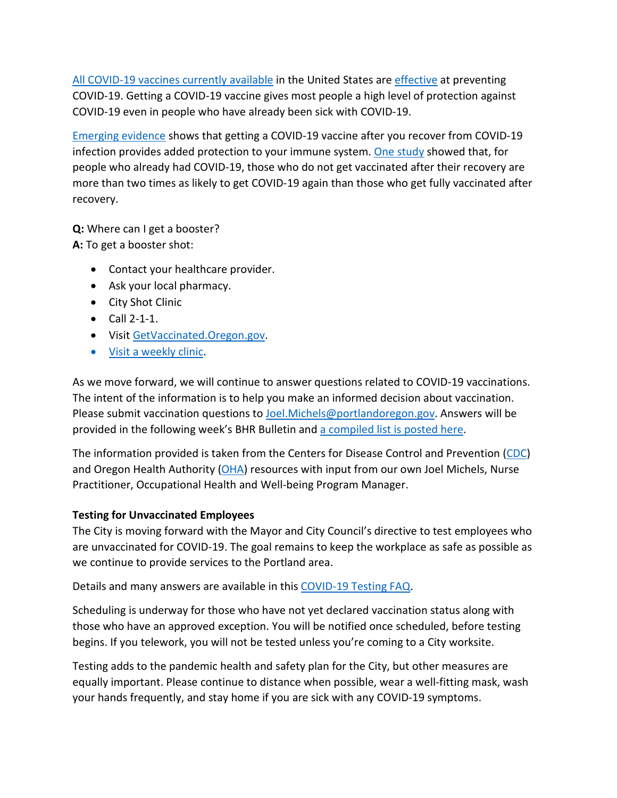[All COVID-19 vaccines currently available](https://www.cdc.gov/coronavirus/2019-ncov/vaccines/different-vaccines.html) in the United States ar[e effective](https://www.cdc.gov/coronavirus/2019-ncov/vaccines/effectiveness/index.html) at preventing COVID-19. Getting a COVID-19 vaccine gives most people a high level of protection against COVID-19 even in people who have already been sick with COVID-19.

[Emerging evidence](https://www.cdc.gov/coronavirus/2019-ncov/science/science-briefs/vaccine-induced-immunity.html#anchor_1635540493225) shows that getting a COVID-19 vaccine after you recover from COVID-19 infection provides added protection to your immune system. [One study](https://www.cdc.gov/mmwr/volumes/70/wr/mm7032e1.htm?s_cid=mm7032e1_e&ACSTrackingID=USCDC_921-DM63289&ACSTrackingLabel=MMWR%20Early%20Release%20-%20Vol.%2070%2C%20August%206%2C%202021&deliveryName=USCDC_921-DM63289) showed that, for people who already had COVID-19, those who do not get vaccinated after their recovery are more than two times as likely to get COVID-19 again than those who get fully vaccinated after recovery.

**Q:** Where can I get a booster?

**A:** To get a booster shot:

- Contact your healthcare provider.
- Ask your local pharmacy.
- City Shot Clinic
- Call 2-1-1.
- Visi[t GetVaccinated.Oregon.gov.](https://getvaccinated.oregon.gov/#/)
- [Visit a weekly clinic.](https://www.multco.us/novel-coronavirus-covid-19/upcoming-covid-19-vaccination-clinics)

As we move forward, we will continue to answer questions related to COVID-19 vaccinations. The intent of the information is to help you make an informed decision about vaccination. Please submit vaccination questions to [Joel.Michels@portlandoregon.gov.](mailto:Joel.Michels@portlandoregon.gov) Answers will be provided in the following week's BHR Bulletin an[d a compiled list is posted here.](https://www.portlandoregon.gov/bhr/article/797240)

The information provided is taken from the Centers for Disease Control and Prevention [\(CDC\)](https://www.cdc.gov/coronavirus/2019-ncov/vaccines/index.html) and Oregon Health Authority [\(OHA\)](https://covidvaccine.oregon.gov/) resources with input from our own Joel Michels, Nurse Practitioner, Occupational Health and Well-being Program Manager.

#### **Testing for Unvaccinated Employees**

The City is moving forward with the Mayor and City Council's directive to test employees who are unvaccinated for COVID-19. The goal remains to keep the workplace as safe as possible as we continue to provide services to the Portland area.

Details and many answers are available in this [COVID-19 Testing FAQ.](https://www.portland.gov/bhr/covid-testing)

Scheduling is underway for those who have not yet declared vaccination status along with those who have an approved exception. You will be notified once scheduled, before testing begins. If you telework, you will not be tested unless you're coming to a City worksite.

Testing adds to the pandemic health and safety plan for the City, but other measures are equally important. Please continue to distance when possible, wear a well-fitting mask, wash your hands frequently, and stay home if you are sick with any COVID-19 symptoms.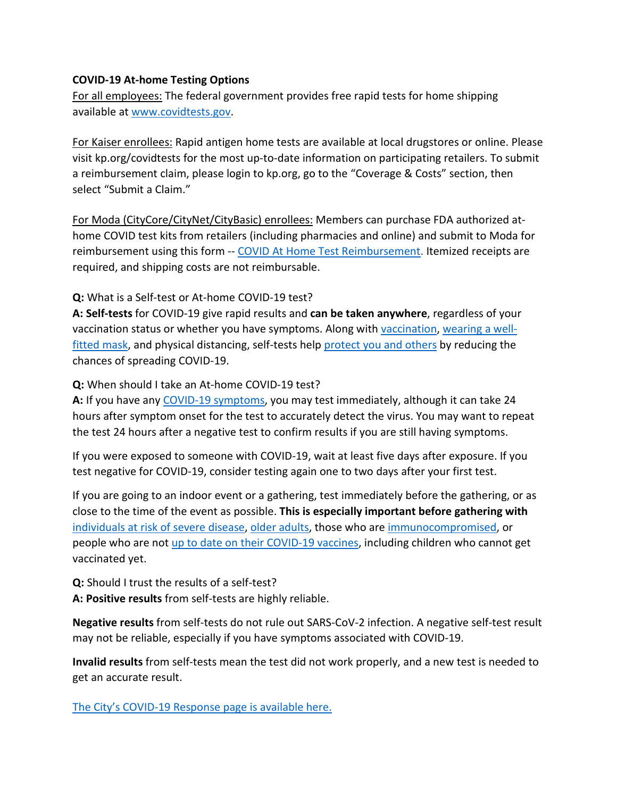#### **COVID-19 At-home Testing Options**

For all employees: The federal government provides free rapid tests for home shipping available at [www.covidtests.gov.](http://www.covidtests.gov/)

For Kaiser enrollees: Rapid antigen home tests are available at local drugstores or online. Please visit kp.org/covidtests for the most up-to-date information on participating retailers. To submit a reimbursement claim, please login to kp.org, go to the "Coverage & Costs" section, then select "Submit a Claim."

For Moda (CityCore/CityNet/CityBasic) enrollees: Members can purchase FDA authorized athome COVID test kits from retailers (including pharmacies and online) and submit to Moda for reimbursement using this form -- [COVID At Home Test Reimbursement.](https://www.modahealth.com/-/media/modahealth/site/shared/forms/ModaHealth-OTC-COVID-19-AtHomeTest-Medical-MemberReimbursementForm.pdf) Itemized receipts are required, and shipping costs are not reimbursable.

**Q:** What is a Self-test or At-home COVID-19 test?

**A: Self-tests** for COVID-19 give rapid results and **can be taken anywhere**, regardless of your vaccination status or whether you have symptoms. Along with [vaccination,](https://www.cdc.gov/coronavirus/2019-ncov/vaccines/your-vaccination.html) [wearing a well](https://www.cdc.gov/coronavirus/2019-ncov/prevent-getting-sick/masks.html)[fitted mask,](https://www.cdc.gov/coronavirus/2019-ncov/prevent-getting-sick/masks.html) and physical distancing, self-tests help [protect you and others](https://www.cdc.gov/coronavirus/2019-ncov/prevent-getting-sick/prevention.html) by reducing the chances of spreading COVID-19.

**Q:** When should I take an At-home COVID-19 test?

**A:** If you have any [COVID-19 symptoms,](https://www.cdc.gov/coronavirus/2019-ncov/symptoms-testing/symptoms.html) you may test immediately, although it can take 24 hours after symptom onset for the test to accurately detect the virus. You may want to repeat the test 24 hours after a negative test to confirm results if you are still having symptoms.

If you were exposed to someone with COVID-19, wait at least five days after exposure. If you test negative for COVID-19, consider testing again one to two days after your first test.

If you are going to an indoor event or a gathering, test immediately before the gathering, or as close to the time of the event as possible. **This is especially important before gathering with** [individuals at risk of severe disease,](https://www.cdc.gov/coronavirus/2019-ncov/need-extra-precautions/people-with-medical-conditions.html) [older adults,](https://www.cdc.gov/aging/covid19/covid19-older-adults.html) those who are [immunocompromised,](https://www.cdc.gov/coronavirus/2019-ncov/need-extra-precautions/people-with-medical-conditions.html#MedicalConditionsAdults) or people who are not [up to date on their COVID-19 vaccines,](https://www.cdc.gov/coronavirus/2019-ncov/vaccines/stay-up-to-date.html) including children who cannot get vaccinated yet.

**Q:** Should I trust the results of a self-test?

**A: Positive results** from self-tests are highly reliable.

**Negative results** from self-tests do not rule out SARS-CoV-2 infection. A negative self-test result may not be reliable, especially if you have symptoms associated with COVID-19.

**Invalid results** from self-tests mean the test did not work properly, and a new test is needed to get an accurate result.

[The City's COVID-19 Response page is available here.](https://www.portlandoregon.gov/bhr/index.cfm?&c=81055)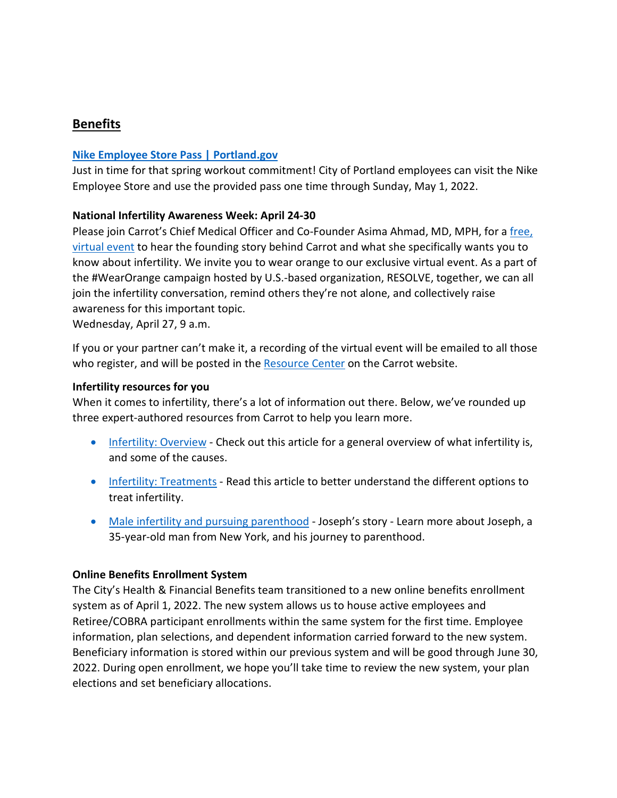# <span id="page-9-0"></span>**Benefits**

#### **[Nike Employee Store Pass | Portland.gov](https://www.portland.gov/bhr/benefit-offerings/news/2021/10/26/nike-employee-store-pass-0)**

Just in time for that spring workout commitment! City of Portland employees can visit the Nike Employee Store and use the provided pass one time through Sunday, May 1, 2022.

#### **National Infertility Awareness Week: April 24-30**

Please join Carrot's Chief Medical Officer and Co-Founder Asima Ahmad, MD, MPH, for a [free,](https://zoom.us/webinar/register/3016480587110/WN_ILPepDHLTXqroZZ8uAvHkw)  [virtual event](https://zoom.us/webinar/register/3016480587110/WN_ILPepDHLTXqroZZ8uAvHkw) to hear the founding story behind Carrot and what she specifically wants you to know about infertility. We invite you to wear orange to our exclusive virtual event. As a part of the #WearOrange campaign hosted by U.S.-based organization, RESOLVE, together, we can all join the infertility conversation, remind others they're not alone, and collectively raise awareness for this important topic.

Wednesday, April 27, 9 a.m.

If you or your partner can't make it, a recording of the virtual event will be emailed to all those who register, and will be posted in the [Resource Center](https://zoom.us/webinar/register/5016480591516/WN_ILPepDHLTXqroZZ8uAvHkw) on the Carrot website.

#### **Infertility resources for you**

When it comes to infertility, there's a lot of information out there. Below, we've rounded up three expert-authored resources from Carrot to help you learn more.

- [Infertility: Overview](https://app.get-carrot.com/read/Fertility/Infertility:-Overview?utm_medium=email&utm_source=employ&utm_campaign=en_c_ee__apr22__email_&utm_content=infertaware&utm_term=)  Check out this article for a general overview of what infertility is, and some of the causes.
- [Infertility: Treatments](https://app.get-carrot.com/read/Fertility/Infertility:-Treatments?utm_medium=email&utm_source=employ&utm_campaign=en_c_ee__apr22__email_&utm_content=infertaware&utm_term=)  Read this article to better understand the different options to treat infertility.
- [Male infertility and pursuing parenthood](https://www.get-carrot.com/blog/baby-steps-josephs-story)  Joseph's story Learn more about Joseph, a 35-year-old man from New York, and his journey to parenthood.

#### **Online Benefits Enrollment System**

The City's Health & Financial Benefits team transitioned to a new online benefits enrollment system as of April 1, 2022. The new system allows us to house active employees and Retiree/COBRA participant enrollments within the same system for the first time. Employee information, plan selections, and dependent information carried forward to the new system. Beneficiary information is stored within our previous system and will be good through June 30, 2022. During open enrollment, we hope you'll take time to review the new system, your plan elections and set beneficiary allocations.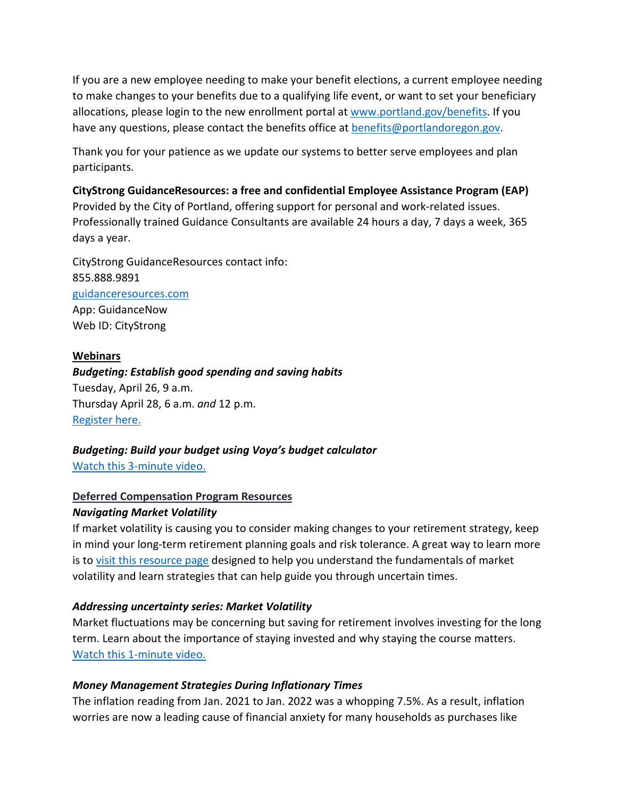If you are a new employee needing to make your benefit elections, a current employee needing to make changes to your benefits due to a qualifying life event, or want to set your beneficiary allocations, please login to the new enrollment portal at [www.portland.gov/benefits.](https://www.portland.gov/benefits) If you have any questions, please contact the benefits office at **benefits@portlandoregon.gov**.

Thank you for your patience as we update our systems to better serve employees and plan participants.

**CityStrong GuidanceResources: a free and confidential Employee Assistance Program (EAP)**  Provided by the City of Portland, offering support for personal and work-related issues. Professionally trained Guidance Consultants are available 24 hours a day, 7 days a week, 365 days a year.

CityStrong GuidanceResources contact info: 855.888.9891 [guidanceresources.com](https://www.guidanceresources.com/groWeb/login/login.xhtml) App: GuidanceNow Web ID: CityStrong

#### **Webinars**

*Budgeting: Establish good spending and saving habits* Tuesday, April 26, 9 a.m. Thursday April 28, 6 a.m. *and* 12 p.m. [Register here.](https://voyafa.zoom.us/webinar/register/WN_jalwtC9vQGa3Bf00BMP-Pw)

# *Budgeting: Build your budget using Voya's budget calculator*

[Watch this 3-minute video.](https://www.voya.com/page/on-demand/budget-calculator)

#### **Deferred Compensation Program Resources**

#### *Navigating Market Volatility*

If market volatility is causing you to consider making changes to your retirement strategy, keep in mind your long-term retirement planning goals and risk tolerance. A great way to learn more is to [visit this resource page](https://www.voya.com/page/navigating-market-volatility) designed to help you understand the fundamentals of market volatility and learn strategies that can help guide you through uncertain times.

#### *Addressing uncertainty series: Market Volatility*

Market fluctuations may be concerning but saving for retirement involves investing for the long term. Learn about the importance of staying invested and why staying the course matters. [Watch this 1-minute video.](https://www.voya.com/page/on-demand/addressing-uncertainty-series-market-volatility)

#### *Money Management Strategies During Inflationary Times*

The inflation reading from Jan. 2021 to Jan. 2022 was a whopping 7.5%. As a result, inflation worries are now a leading cause of financial anxiety for many households as purchases like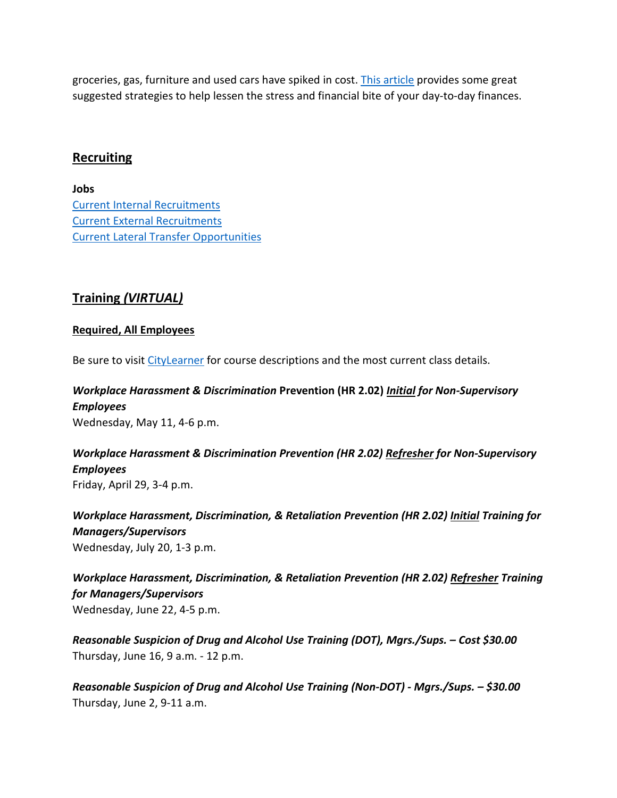groceries, gas, furniture and used cars have spiked in cost. [This article](https://blog.voya.com/financial-decisions/money-management-strategies-during-inflationary-times-nc) provides some great suggested strategies to help lessen the stress and financial bite of your day-to-day finances.

#### <span id="page-11-0"></span>**Recruiting**

**Jobs** [Current Internal Recruitments](https://www.governmentjobs.com/careers/portlandor/promotionaljobs) [Current External Recruitments](https://www.governmentjobs.com/careers/portlandor?) [Current Lateral Transfer Opportunities](https://www.governmentjobs.com/careers/portlandor/transferjobs)

# <span id="page-11-1"></span>**Training** *(VIRTUAL)*

#### **Required, All Employees**

Be sure to visit [CityLearner](https://www.portlandoregon.gov/sf) for course descriptions and the most current class details.

# *Workplace Harassment & Discrimination* **Prevention (HR 2.02)** *Initial for Non-Supervisory Employees*

Wednesday, May 11, 4-6 p.m.

#### *Workplace Harassment & Discrimination Prevention (HR 2.02) Refresher for Non-Supervisory Employees* Friday, April 29, 3-4 p.m.

*Workplace Harassment, Discrimination, & Retaliation Prevention (HR 2.02) Initial Training for Managers/Supervisors*  Wednesday, July 20, 1-3 p.m.

*Workplace Harassment, Discrimination, & Retaliation Prevention (HR 2.02) Refresher Training for Managers/Supervisors*  Wednesday, June 22, 4-5 p.m.

*Reasonable Suspicion of Drug and Alcohol Use Training (DOT), Mgrs./Sups. – Cost \$30.00* Thursday, June 16, 9 a.m. - 12 p.m.

*Reasonable Suspicion of Drug and Alcohol Use Training (Non-DOT) - Mgrs./Sups. – \$30.00* Thursday, June 2, 9-11 a.m.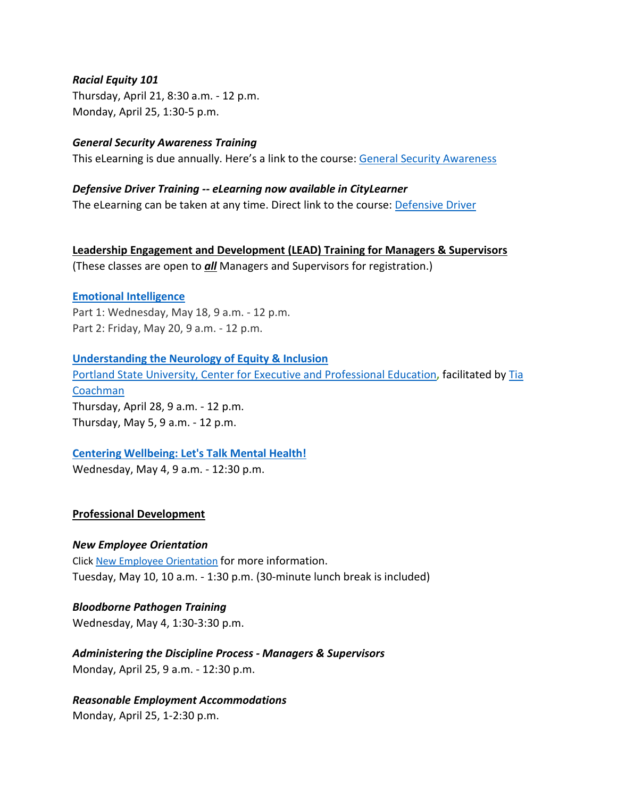#### *Racial Equity 101*

Thursday, April 21, 8:30 a.m. - 12 p.m. Monday, April 25, 1:30-5 p.m.

#### *General Security Awareness Training*

This eLearning is due annually. Here's a link to the course: [General Security Awareness](https://performancemanager4.successfactors.com/sf/learning?destUrl=https%3a%2f%2fcityofport%2eplateau%2ecom%2flearning%2fuser%2fdeeplink%5fredirect%2ejsp%3flinkId%3dITEM%5fDETAILS%26componentID%3dLMS61011035%26componentTypeID%3dELRN%26revisionDate%3d1638978720000%26fromSF%3dY&company=cityofport) 

#### *Defensive Driver Training -- eLearning now available in CityLearner*

The eLearning can be taken at any time. Direct link to the course: [Defensive Driver](https://cityofport.plateau.com/learning/user/common/viewItemDetails.do?OWASP_CSRFTOKEN=5M1O-5ANN-0TLU-3QOL-OISM-MYFY-1V3A-L7M9&componentID=LMS61011177&componentTypeID=ELRN&fromSF=Y&revisionDate=1607576040000&menuGroup=Learning&menuItem=Cur&fromDeepLink=true&hideItemDetailsBackLink=true)

**Leadership Engagement and Development (LEAD) Training for Managers & Supervisors** (These classes are open to *all* Managers and Supervisors for registration.)

#### **[Emotional Intelligence](https://performancemanager4.successfactors.com/sf/learning?destUrl=https%3a%2f%2fcityofport%2eplateau%2ecom%2flearning%2fuser%2fdeeplink%5fredirect%2ejsp%3flinkId%3dITEM%5fDETAILS%26componentID%3d29034%26componentTypeID%3dILT%26revisionDate%3d1621278240000%26fromSF%3dY&company=cityofport)**

Part 1: Wednesday, May 18, 9 a.m. - 12 p.m. Part 2: Friday, May 20, 9 a.m. - 12 p.m.

**[Understanding the Neurology of Equity & Inclusion](https://performancemanager4.successfactors.com/sf/learning?destUrl=https%3a%2f%2fcityofport%2eplateau%2ecom%2flearning%2fuser%2fdeeplink%5fredirect%2ejsp%3flinkId%3dITEM%5fDETAILS%26componentID%3d39004%26componentTypeID%3dILT%26revisionDate%3d1638564360000%26fromSF%3dY&company=cityofport)** [Portland State University, Center for Executive and Professional Education](https://www.pdx.edu/professional-education/)**,** facilitated by [Tia](https://www.pdx.edu/professional-education/profile/tia-coachman)  [Coachman](https://www.pdx.edu/professional-education/profile/tia-coachman)  Thursday, April 28, 9 a.m. - 12 p.m. Thursday, May 5, 9 a.m. - 12 p.m.

#### **[Centering Wellbeing: Let's Talk Mental Health!](https://performancemanager4.successfactors.com/sf/learning?destUrl=https%3a%2f%2fcityofport%2eplateau%2ecom%2flearning%2fuser%2fdeeplink%5fredirect%2ejsp%3flinkId%3dITEM%5fDETAILS%26componentID%3d30004%26componentTypeID%3dILT%26revisionDate%3d1625183220000%26fromSF%3dY&company=cityofport)**

Wednesday, May 4, 9 a.m. - 12:30 p.m.

#### **Professional Development**

#### *New Employee Orientation*

Click [New Employee Orientation](https://www.portlandoregon.gov/bhr/77721) for more information. Tuesday, May 10, 10 a.m. - 1:30 p.m. (30-minute lunch break is included)

*Bloodborne Pathogen Training* Wednesday, May 4, 1:30-3:30 p.m.

*Administering the Discipline Process - Managers & Supervisors* Monday, April 25, 9 a.m. - 12:30 p.m.

*Reasonable Employment Accommodations* 

Monday, April 25, 1-2:30 p.m.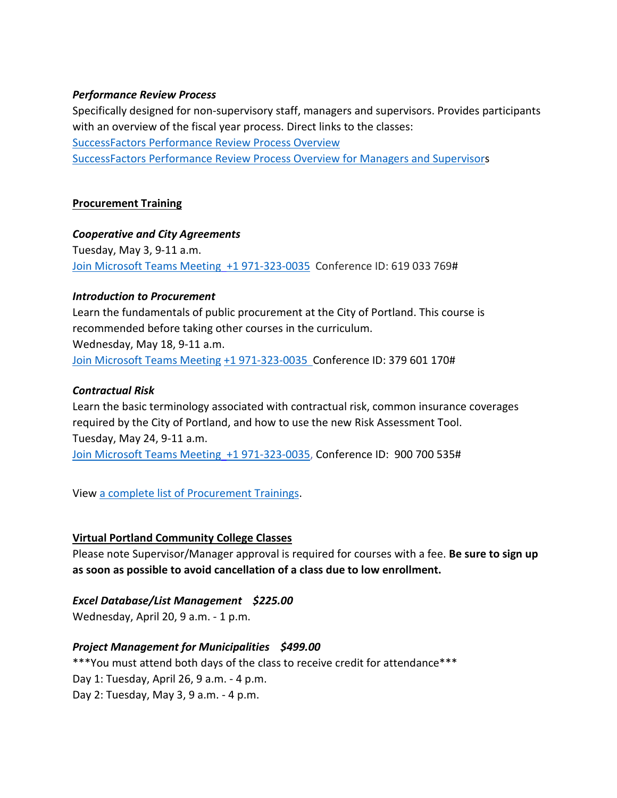#### *Performance Review Process*

Specifically designed for non-supervisory staff, managers and supervisors. Provides participants with an overview of the fiscal year process. Direct links to the classes: [SuccessFactors Performance Review Process Overview](https://cityofport.plateau.com/learning/user/common/viewItemDetails.do?OWASP_CSRFTOKEN=DU90-LX7U-MJFA-R3RR-74UK-2I97-WO9L-P1RW&componentID=29037&componentTypeID=ELRN&fromSF=Y&revisionDate=1621295700000&menuGroup=Learning&menuItem=Cur&fromDeepLink=true&hideItemDetailsBackLink=true)  [SuccessFactors Performance Review Process Overview for Managers and Supervisors](https://sts.portlandoregon.gov/adfs/ls/?SAMLRequest=hZJPb9swDMW%2FisC7bUVL61SIU2QLigXYH7fxethlUGU6FSBLnig367ev7aRbd0mv0iPf449cXv9pLXvCQMa7AmYpB4ZO%2B9q4fQE%2FqptkAderJanWik6u%2B%2Fjo7vB3jxTZUOhIHn8K6IOTXpEh6VSLJKOWu%2FXXL1KkXHbBR6%2B9BbYZCo1TcTJ7jLEjmWUUKe18iFa52gfce5fu%2FVOm6oYySxmwGx80Tt4FNMoSAttuCvg1V3n90OirZJZ%2FwGTeIE%2BuLgRPxEWuZwKV5vnlICXqcesoKhcLEFyIhItELKpZLvlc8stULPhPYOUp5UfjjtOfG%2BnhKCL5uarKpPy%2Bq4Ddv1IcBHBiJif38BbW%2BcaKCMPIB1avfA6HQ0q91kjUKB19oFT7NtMmPvtmBLfM3nr93da3ofl2U3pr9DNbW%2BsPnwKqiAXE0OOEtVXxfJzxxdRJM0llN05IEV0EtivH%2Fre9sqYxGP6t8924kK1Oif%2B%2FqNUL&RelayState=%2Fsf%2Flearning%3FdestUrl%3Dhttps%253a%252f%252fcityofport%252eplateau%252ecom%252flearning%252fuser%252fdeeplink%255fredirect%252ejsp%253flinkId%253dITEM%255fDETAILS%2526componentID%253d29040%2526componentTypeID%253dELRN%2526revisionDate%253d1621298220000%2526fromSF%253dY&SigAlg=http%3A%2F%2Fwww.w3.org%2F2000%2F09%2Fxmldsig%23rsa-sha1&Signature=Nh05m6BdIM%2FxvyYo0XGgvYRymZoYM8duNho3YqhMrhB7dt0AJszl8HP9tMyr1Rm970uBY8qN1OK2VQ1DitXtL9X5kz06hi1lh1qU%2BNQBVJv%2F2mbWdoqb58FMYKiqv97cu9yMld0iUdw6Mkp%2FB1rVy%2F6nxhm7IUmo9suGPepTh6k%3D)

#### **Procurement Training**

#### *Cooperative and City Agreements*

Tuesday, May 3, 9-11 a.m. [Join Microsoft Teams Meeting](https://teams.microsoft.com/l/meetup-join/19%3ameeting_YTUwYjg0ODEtMTZiMS00ZmRlLThjODctZDE5NDdkNzg1ZTdh%40thread.v2/0?context=%7b%22Tid%22%3a%22636d7808-73c9-41a7-97aa-8c4733642141%22%2c%22Oid%22%3a%2286b2ae6e-2fe6-44ca-9974-4b60b2e2cd99%22%7d) [+1 971-323-0035](tel:+19713230035,,619033769) Conference ID: 619 033 769#

#### *Introduction to Procurement*

Learn the fundamentals of public procurement at the City of Portland. This course is recommended before taking other courses in the curriculum. Wednesday, May 18, 9-11 a.m. [Join Microsoft Teams Meeting](https://teams.microsoft.com/l/meetup-join/19%3ameeting_OWI3OGJlZDAtYTlhYS00ZWQ0LTkwNWYtOTM5YmZlYzI1MmIx%40thread.v2/0?context=%7b%22Tid%22%3a%22636d7808-73c9-41a7-97aa-8c4733642141%22%2c%22Oid%22%3a%2286b2ae6e-2fe6-44ca-9974-4b60b2e2cd99%22%7d) [+1 971-323-0035 C](tel:+19713230035,,379601170)onference ID: 379 601 170#

#### *Contractual Risk*

Learn the basic terminology associated with contractual risk, common insurance coverages required by the City of Portland, and how to use the new Risk Assessment Tool. Tuesday, May 24, 9-11 a.m. [Join Microsoft Teams Meeting](https://teams.microsoft.com/l/meetup-join/19%3ameeting_ZjhkNmE5Y2EtODgyZS00NGQ4LTkxZGEtMDY1ZTE4YzdlYmZh%40thread.v2/0?context=%7b%22Tid%22%3a%22636d7808-73c9-41a7-97aa-8c4733642141%22%2c%22Oid%22%3a%2286b2ae6e-2fe6-44ca-9974-4b60b2e2cd99%22%7d) [+1 971-323-0035,](tel:+19713230035,,900700535) Conference ID: 900 700 535#

View [a complete list of Procurement Trainings.](https://www.portlandoregon.gov/brfs/article/780678)

#### **Virtual Portland Community College Classes**

Please note Supervisor/Manager approval is required for courses with a fee. **Be sure to sign up as soon as possible to avoid cancellation of a class due to low enrollment.**

#### *Excel Database/List Management \$225.00*

Wednesday, April 20, 9 a.m. - 1 p.m.

#### *Project Management for Municipalities \$499.00*

\*\*\*You must attend both days of the class to receive credit for attendance\*\*\* Day 1: Tuesday, April 26, 9 a.m. - 4 p.m. Day 2: Tuesday, May 3, 9 a.m. - 4 p.m.